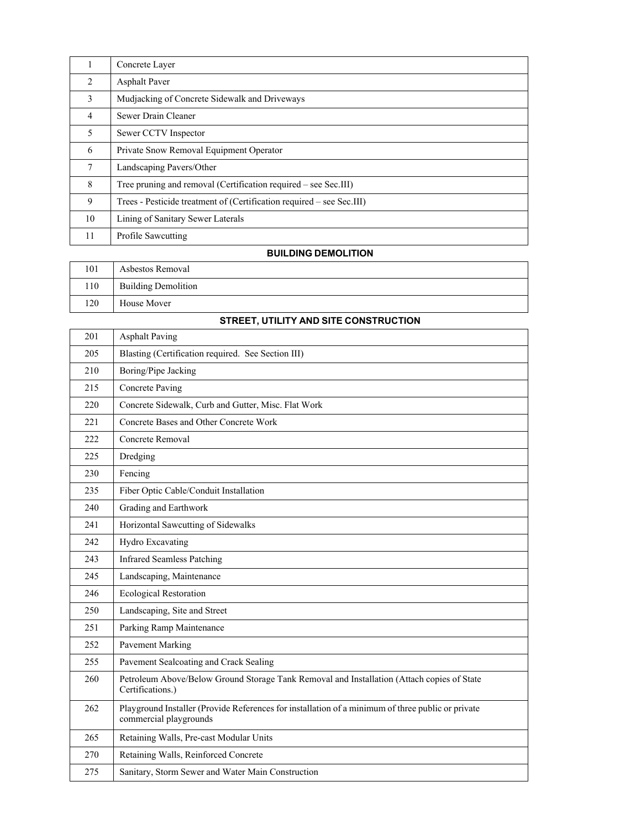| 1              | Concrete Layer                                                        |
|----------------|-----------------------------------------------------------------------|
| 2              | <b>Asphalt Paver</b>                                                  |
| 3              | Mudjacking of Concrete Sidewalk and Driveways                         |
| $\overline{4}$ | Sewer Drain Cleaner                                                   |
| 5              | Sewer CCTV Inspector                                                  |
| 6              | Private Snow Removal Equipment Operator                               |
| 7              | Landscaping Pavers/Other                                              |
| 8              | Tree pruning and removal (Certification required – see Sec.III)       |
| 9              | Trees - Pesticide treatment of (Certification required – see Sec.III) |
| 10             | Lining of Sanitary Sewer Laterals                                     |
| 11             | Profile Sawcutting                                                    |

### **BUILDING DEMOLITION**

| 101 | Asbestos Removal           |
|-----|----------------------------|
| 110 | <b>Building Demolition</b> |
| 120 | House Mover                |

### **STREET, UTILITY AND SITE CONSTRUCTION**

| 201 | <b>Asphalt Paving</b>                                                                                                       |
|-----|-----------------------------------------------------------------------------------------------------------------------------|
| 205 | Blasting (Certification required. See Section III)                                                                          |
| 210 | Boring/Pipe Jacking                                                                                                         |
| 215 | <b>Concrete Paving</b>                                                                                                      |
| 220 | Concrete Sidewalk, Curb and Gutter, Misc. Flat Work                                                                         |
| 221 | Concrete Bases and Other Concrete Work                                                                                      |
| 222 | Concrete Removal                                                                                                            |
| 225 | Dredging                                                                                                                    |
| 230 | Fencing                                                                                                                     |
| 235 | Fiber Optic Cable/Conduit Installation                                                                                      |
| 240 | Grading and Earthwork                                                                                                       |
| 241 | Horizontal Sawcutting of Sidewalks                                                                                          |
| 242 | Hydro Excavating                                                                                                            |
| 243 | <b>Infrared Seamless Patching</b>                                                                                           |
| 245 | Landscaping, Maintenance                                                                                                    |
| 246 | <b>Ecological Restoration</b>                                                                                               |
| 250 | Landscaping, Site and Street                                                                                                |
| 251 | Parking Ramp Maintenance                                                                                                    |
| 252 | <b>Pavement Marking</b>                                                                                                     |
| 255 | Pavement Sealcoating and Crack Sealing                                                                                      |
| 260 | Petroleum Above/Below Ground Storage Tank Removal and Installation (Attach copies of State<br>Certifications.)              |
| 262 | Playground Installer (Provide References for installation of a minimum of three public or private<br>commercial playgrounds |
| 265 | Retaining Walls, Pre-cast Modular Units                                                                                     |
| 270 | Retaining Walls, Reinforced Concrete                                                                                        |
| 275 | Sanitary, Storm Sewer and Water Main Construction                                                                           |
|     |                                                                                                                             |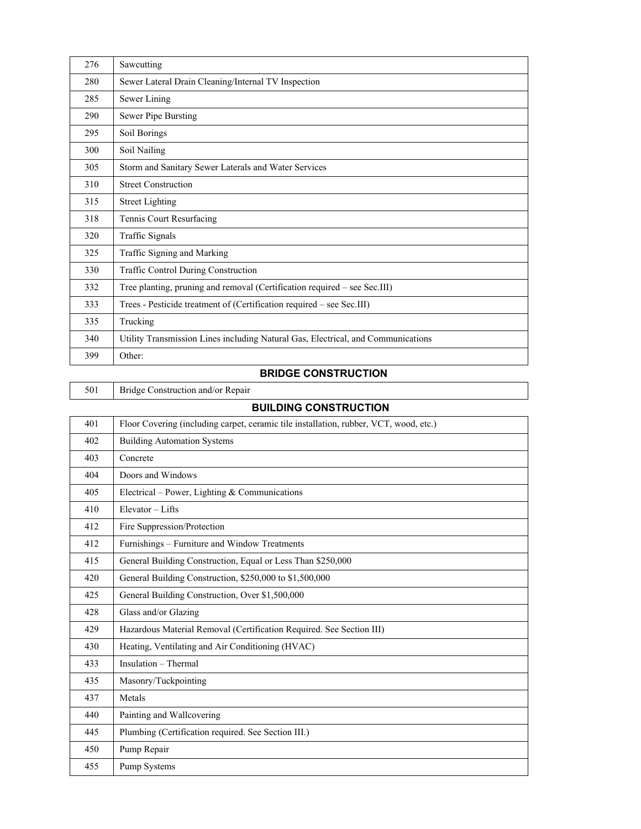| 276 | Sawcutting                                                                       |
|-----|----------------------------------------------------------------------------------|
| 280 | Sewer Lateral Drain Cleaning/Internal TV Inspection                              |
| 285 | Sewer Lining                                                                     |
| 290 | Sewer Pipe Bursting                                                              |
| 295 | Soil Borings                                                                     |
| 300 | Soil Nailing                                                                     |
| 305 | Storm and Sanitary Sewer Laterals and Water Services                             |
| 310 | <b>Street Construction</b>                                                       |
| 315 | <b>Street Lighting</b>                                                           |
| 318 | Tennis Court Resurfacing                                                         |
| 320 | Traffic Signals                                                                  |
| 325 | Traffic Signing and Marking                                                      |
| 330 | <b>Traffic Control During Construction</b>                                       |
| 332 | Tree planting, pruning and removal (Certification required – see Sec.III)        |
| 333 | Trees - Pesticide treatment of (Certification required – see Sec.III)            |
| 335 | Trucking                                                                         |
| 340 | Utility Transmission Lines including Natural Gas, Electrical, and Communications |
| 399 | Other:                                                                           |

## **BRIDGE CONSTRUCTION**

| 501 | Bridg |
|-----|-------|
|     |       |

flge Construction and/or Repair

## **BUILDING CONSTRUCTION**

| 401 | Floor Covering (including carpet, ceramic tile installation, rubber, VCT, wood, etc.) |
|-----|---------------------------------------------------------------------------------------|
| 402 | <b>Building Automation Systems</b>                                                    |
| 403 | Concrete                                                                              |
| 404 | Doors and Windows                                                                     |
| 405 | Electrical – Power, Lighting & Communications                                         |
| 410 | Elevator - Lifts                                                                      |
| 412 | Fire Suppression/Protection                                                           |
| 412 | Furnishings – Furniture and Window Treatments                                         |
| 415 | General Building Construction, Equal or Less Than \$250,000                           |
| 420 | General Building Construction, \$250,000 to \$1,500,000                               |
| 425 | General Building Construction, Over \$1,500,000                                       |
| 428 | Glass and/or Glazing                                                                  |
| 429 | Hazardous Material Removal (Certification Required. See Section III)                  |
| 430 | Heating, Ventilating and Air Conditioning (HVAC)                                      |
| 433 | Insulation - Thermal                                                                  |
| 435 | Masonry/Tuckpointing                                                                  |
| 437 | Metals                                                                                |
| 440 | Painting and Wallcovering                                                             |
| 445 | Plumbing (Certification required. See Section III.)                                   |
| 450 | Pump Repair                                                                           |
| 455 | Pump Systems                                                                          |